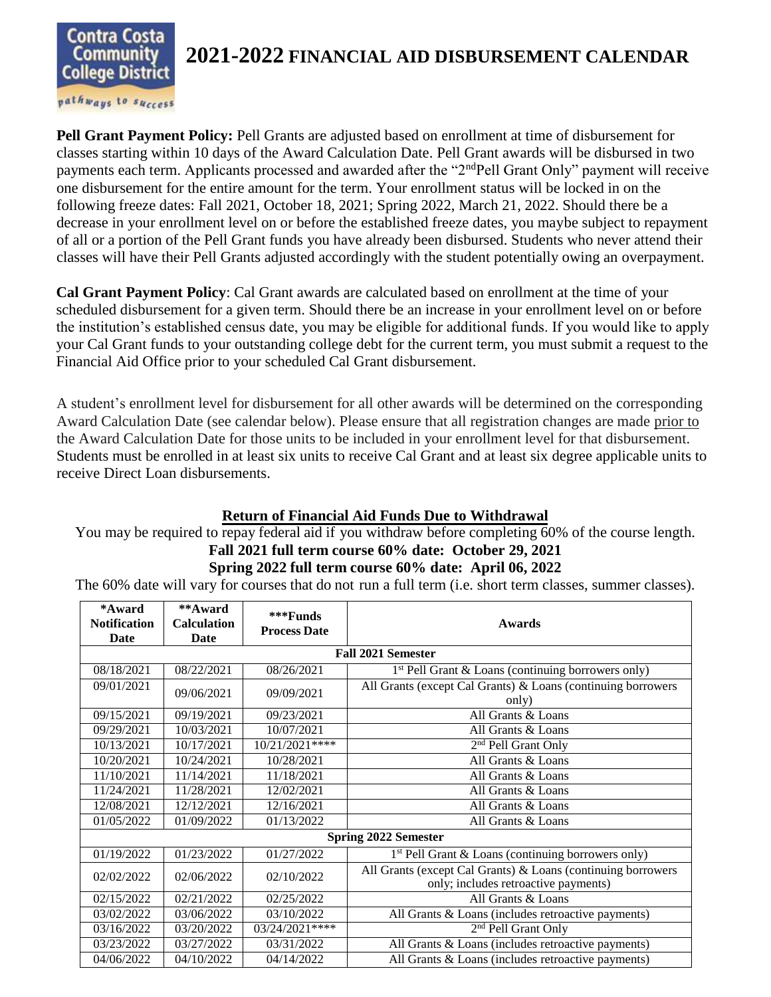

## **2021-2022 FINANCIAL AID DISBURSEMENT CALENDAR**

pathways to success

**Pell Grant Payment Policy:** Pell Grants are adjusted based on enrollment at time of disbursement for classes starting within 10 days of the Award Calculation Date. Pell Grant awards will be disbursed in two payments each term. Applicants processed and awarded after the "2<sup>nd</sup>Pell Grant Only" payment will receive one disbursement for the entire amount for the term. Your enrollment status will be locked in on the following freeze dates: Fall 2021, October 18, 2021; Spring 2022, March 21, 2022. Should there be a decrease in your enrollment level on or before the established freeze dates, you maybe subject to repayment of all or a portion of the Pell Grant funds you have already been disbursed. Students who never attend their classes will have their Pell Grants adjusted accordingly with the student potentially owing an overpayment.

**Cal Grant Payment Policy**: Cal Grant awards are calculated based on enrollment at the time of your scheduled disbursement for a given term. Should there be an increase in your enrollment level on or before the institution's established census date, you may be eligible for additional funds. If you would like to apply your Cal Grant funds to your outstanding college debt for the current term, you must submit a request to the Financial Aid Office prior to your scheduled Cal Grant disbursement.

A student's enrollment level for disbursement for all other awards will be determined on the corresponding Award Calculation Date (see calendar below). Please ensure that all registration changes are made prior to the Award Calculation Date for those units to be included in your enrollment level for that disbursement. Students must be enrolled in at least six units to receive Cal Grant and at least six degree applicable units to receive Direct Loan disbursements.

## **Return of Financial Aid Funds Due to Withdrawal**

You may be required to repay federal aid if you withdraw before completing 60% of the course length. **Fall 2021 full term course 60% date: October 29, 2021**

## **Spring 2022 full term course 60% date: April 06, 2022**

The 60% date will vary for courses that do not run a full term (i.e. short term classes, summer classes).

| *Award<br><b>Notification</b><br>Date | **Award<br><b>Calculation</b><br>Date | ***Funds<br><b>Process Date</b> | <b>Awards</b>                                                                                        |  |  |
|---------------------------------------|---------------------------------------|---------------------------------|------------------------------------------------------------------------------------------------------|--|--|
| <b>Fall 2021 Semester</b>             |                                       |                                 |                                                                                                      |  |  |
| 08/18/2021                            | 08/22/2021                            | 08/26/2021                      | $1st$ Pell Grant & Loans (continuing borrowers only)                                                 |  |  |
| 09/01/2021                            | 09/06/2021                            | 09/09/2021                      | All Grants (except Cal Grants) & Loans (continuing borrowers<br>only)                                |  |  |
| 09/15/2021                            | 09/19/2021                            | 09/23/2021                      | All Grants & Loans                                                                                   |  |  |
| 09/29/2021                            | 10/03/2021                            | 10/07/2021                      | All Grants & Loans                                                                                   |  |  |
| 10/13/2021                            | 10/17/2021                            | 10/21/2021****                  | 2 <sup>nd</sup> Pell Grant Only                                                                      |  |  |
| 10/20/2021                            | 10/24/2021                            | 10/28/2021                      | All Grants & Loans                                                                                   |  |  |
| 11/10/2021                            | 11/14/2021                            | 11/18/2021                      | All Grants & Loans                                                                                   |  |  |
| 11/24/2021                            | 11/28/2021                            | 12/02/2021                      | All Grants & Loans                                                                                   |  |  |
| 12/08/2021                            | 12/12/2021                            | 12/16/2021                      | All Grants & Loans                                                                                   |  |  |
| 01/05/2022                            | 01/09/2022                            | 01/13/2022                      | All Grants & Loans                                                                                   |  |  |
| <b>Spring 2022 Semester</b>           |                                       |                                 |                                                                                                      |  |  |
| 01/19/2022                            | 01/23/2022                            | 01/27/2022                      | $1st$ Pell Grant & Loans (continuing borrowers only)                                                 |  |  |
| 02/02/2022                            | 02/06/2022                            | 02/10/2022                      | All Grants (except Cal Grants) & Loans (continuing borrowers<br>only; includes retroactive payments) |  |  |
| 02/15/2022                            | 02/21/2022                            | 02/25/2022                      | All Grants & Loans                                                                                   |  |  |
| 03/02/2022                            | 03/06/2022                            | 03/10/2022                      | All Grants & Loans (includes retroactive payments)                                                   |  |  |
| 03/16/2022                            | 03/20/2022                            | 03/24/2021 ****                 | 2 <sup>nd</sup> Pell Grant Only                                                                      |  |  |
| 03/23/2022                            | 03/27/2022                            | 03/31/2022                      | All Grants & Loans (includes retroactive payments)                                                   |  |  |
| 04/06/2022                            | 04/10/2022                            | 04/14/2022                      | All Grants & Loans (includes retroactive payments)                                                   |  |  |